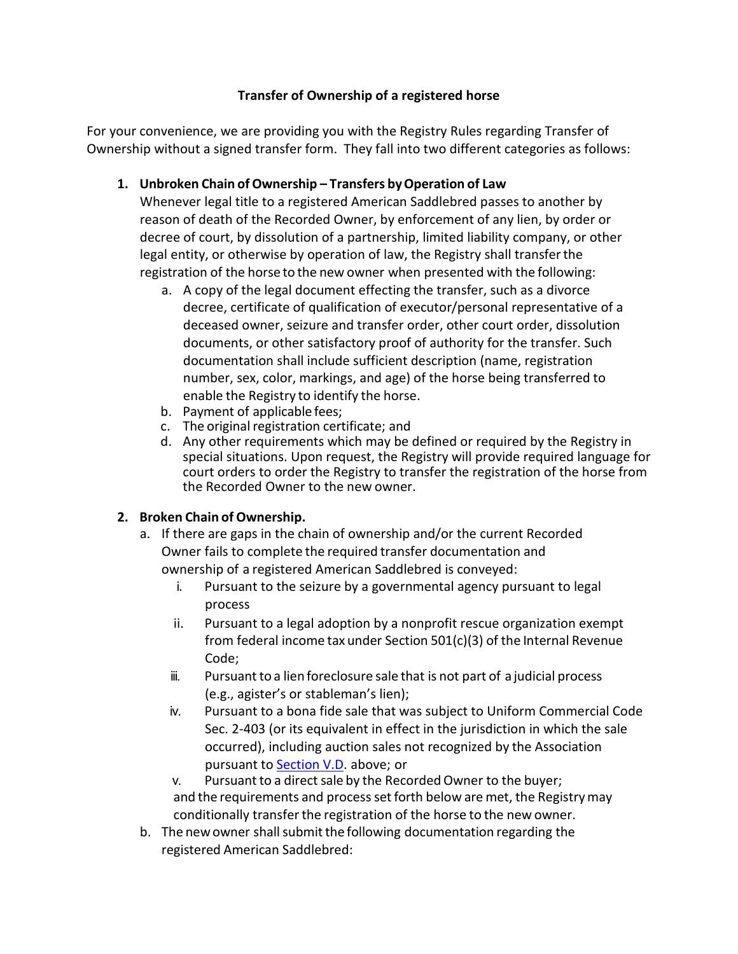## **Transfer of Ownership of a registered horse**

For your convenience, we are providing you with the Registry Rules regarding Transfer of Ownership without a signed transfer form. They fall into two different categories as follows:

## **1. Unbroken Chain ofOwnership – Transfers byOperation of Law**

Whenever legal title to a registered American Saddlebred passes to another by reason of death of the Recorded Owner, by enforcement of any lien, by order or decree of court, by dissolution of a partnership, limited liability company, or other legal entity, or otherwise by operation of law, the Registry shall transferthe registration of the horse to the new owner when presented with the following:

- a. A copy of the legal document effecting the transfer, such as a divorce decree, certificate of qualification of executor/personal representative of a deceased owner, seizure and transfer order, other court order, dissolution documents, or other satisfactory proof of authority for the transfer. Such documentation shall include sufficient description (name, registration number, sex, color, markings, and age) of the horse being transferred to enable the Registry to identify the horse.
- b. Payment of applicable fees;
- c. The original registration certificate; and
- <span id="page-0-0"></span>d. Any other requirements which may be defined or required by the Registry in special situations. Upon request, the Registry will provide required language for court orders to order the Registry to transfer the registration of the horse from the Recorded Owner to the new owner.

## **2. [Broken Chain](#page-0-0) of Ownership.**

- <span id="page-0-1"></span>a. If there are gaps in the chain of ownership and/or the current Recorded Owner fails to complete the required transfer documentation and ownership of a registered American Saddlebred is conveyed:
	- i. Pursuant to the seizure by a governmental agency pursuant to legal process
	- ii. Pursuant to a legal adoption by a nonprofit rescue organization exempt from federal income tax under Section 501(c)(3) of the Internal Revenue Code;
	- iii. Pursuantto a lien foreclosure sale that is not part of a judicial process (e.g., agister's or stableman's lien);
	- iv. Pursuant to a bona fide sale that was subject to Uniform Commercial Code Sec. 2-403 (or its equivalent in effect in the jurisdiction in which the sale occurred), including auction sales not recognized by the Association pursuant to Section V.D. above; or

v. Pursuant to a direct sale by the Recorded Owner to the buyer; and the requirements and process set forth below are met, the Registry may conditionally transfer the registration of the horse to the new owner.

b. The new owner shall submit the following documentation regarding the registered American Saddlebred: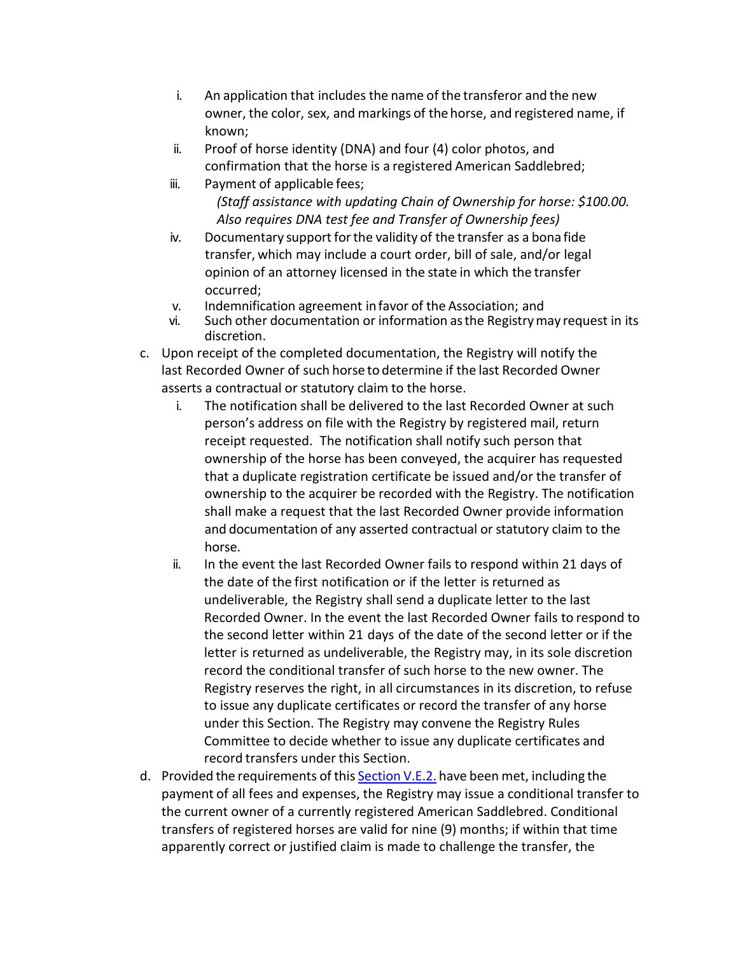- i. An application that includes the name of the transferor and the new owner, the color, sex, and markings of the horse, and registered name, if known;
- ii. Proof of horse identity (DNA) and four (4) color photos, and confirmation that the horse is a registered American Saddlebred;
- iii. Payment of applicable fees;  *(Staff assistance with updating Chain of Ownership for horse: \$100.00. Also requires DNA test fee and Transfer of Ownership fees)*
- iv. Documentary support for the validity of the transfer as a bona fide transfer, which may include a court order, bill of sale, and/or legal opinion of an attorney licensed in the state in which the transfer occurred;
- v. Indemnification agreement infavor of the Association; and
- vi. Such other documentation or information asthe Registrymay request in its discretion.
- c. Upon receipt of the completed documentation, the Registry will notify the last Recorded Owner of such horse to determine if the last Recorded Owner asserts a contractual or statutory claim to the horse.
	- i. The notification shall be delivered to the last Recorded Owner at such person's address on file with the Registry by registered mail, return receipt requested. The notification shall notify such person that ownership of the horse has been conveyed, the acquirer has requested that a duplicate registration certificate be issued and/or the transfer of ownership to the acquirer be recorded with the Registry. The notification shall make a request that the last Recorded Owner provide information and documentation of any asserted contractual or statutory claim to the horse.
	- ii. In the event the last Recorded Owner fails to respond within 21 days of the date of the first notification or if the letter is returned as undeliverable, the Registry shall send a duplicate letter to the last Recorded Owner. In the event the last Recorded Owner fails to respond to the second letter within 21 days of the date of the second letter or if the letter is returned as undeliverable, the Registry may, in its sole discretion record the conditional transfer of such horse to the new owner. The Registry reserves the right, in all circumstances in its discretion, to refuse to issue any duplicate certificates or record the transfer of any horse under this Section. The Registry may convene the Registry Rules Committee to decide whether to issue any duplicate certificates and record transfers under this Section.
- d. Provided the requirements of this [Section](#page-0-1) V.E.2. have been met, including the payment of all fees and expenses, the Registry may issue a conditional transfer to the current owner of a currently registered American Saddlebred. Conditional transfers of registered horses are valid for nine (9) months; if within that time apparently correct or justified claim is made to challenge the transfer, the